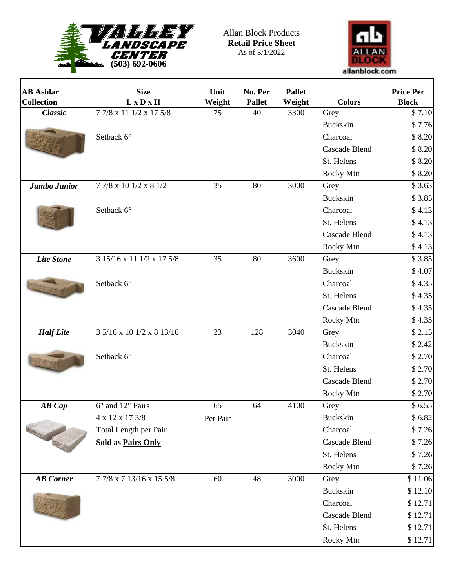

 $\Gamma$ 

Allan Block Products **Retail Price Sheet** As of 3/1/2022



٦

| <b>AB</b> Ashlar                       | <b>Size</b>               | Unit     | No. Per       | <b>Pallet</b> |                      | <b>Price Per</b> |
|----------------------------------------|---------------------------|----------|---------------|---------------|----------------------|------------------|
| <b>Collection</b>                      | $L \times D \times H$     | Weight   | <b>Pallet</b> | Weight        | <b>Colors</b>        | <b>Block</b>     |
| <b>Classic</b>                         | 7 7/8 x 11 1/2 x 17 5/8   | 75       | 40            | 3300          | Grey                 | \$7.10           |
|                                        |                           |          |               |               | Buckskin             | \$7.76           |
|                                        | Setback 6°                |          |               |               | Charcoal             | \$8.20           |
|                                        |                           |          |               |               | <b>Cascade Blend</b> | \$8.20           |
|                                        |                           |          |               |               | St. Helens           | \$8.20           |
|                                        |                           |          | 80            |               | Rocky Mtn            | \$8.20           |
| Jumbo Junior                           | 77/8 x 10 1/2 x 8 1/2     | 35       |               | 3000          | Grey                 | \$3.63           |
|                                        |                           |          |               |               | Buckskin             | \$3.85           |
|                                        | Setback 6°                |          |               |               | Charcoal             | \$4.13           |
|                                        |                           |          |               |               | St. Helens           | \$4.13           |
|                                        |                           |          |               |               | Cascade Blend        | \$4.13           |
|                                        |                           |          |               |               | Rocky Mtn            | \$4.13           |
| <b>Lite Stone</b>                      | 3 15/16 x 11 1/2 x 17 5/8 | 35       | 80            | 3600          | Grey                 | \$3.85           |
|                                        |                           |          |               |               | <b>Buckskin</b>      | \$4.07           |
|                                        | Setback 6°                |          |               |               | Charcoal             | \$4.35           |
|                                        |                           |          |               |               | St. Helens           | \$4.35           |
|                                        |                           |          |               |               | Cascade Blend        | \$4.35           |
|                                        |                           |          |               |               | Rocky Mtn            | \$4.35           |
| <b>Half</b> Lite                       | 3 5/16 x 10 1/2 x 8 13/16 | 23       | 128           | 3040          | Grey                 | \$2.15           |
|                                        |                           |          |               |               | Buckskin             | \$2.42           |
|                                        | Setback 6°                |          |               |               | Charcoal             | \$2.70           |
|                                        |                           |          |               |               | St. Helens           | \$2.70           |
|                                        |                           |          |               |               | <b>Cascade Blend</b> | \$2.70           |
|                                        |                           |          |               |               | Rocky Mtn            | \$2.70           |
| AB Cap<br>Contractor of the Contractor | 6" and 12" Pairs          | 65       | 64            | 4100          | Grey                 | \$6.55           |
|                                        | 4 x 12 x 17 3/8           | Per Pair |               |               | Buckskin             | \$6.82           |
|                                        | Total Length per Pair     |          |               |               | Charcoal             | \$7.26           |
|                                        | Sold as Pairs Only        |          |               |               | Cascade Blend        | \$7.26           |
|                                        |                           |          |               |               | St. Helens           | \$7.26           |
|                                        |                           |          |               |               | Rocky Mtn            | \$7.26           |
| <b>AB</b> Corner                       | 77/8 x 7 13/16 x 15 5/8   | 60       | 48            | 3000          | Grey                 | \$11.06          |
|                                        |                           |          |               |               | <b>Buckskin</b>      | \$12.10          |
|                                        |                           |          |               |               | Charcoal             | \$12.71          |
|                                        |                           |          |               |               | Cascade Blend        | \$12.71          |
|                                        |                           |          |               |               | St. Helens           | \$12.71          |
|                                        |                           |          |               |               | Rocky Mtn            | \$12.71          |